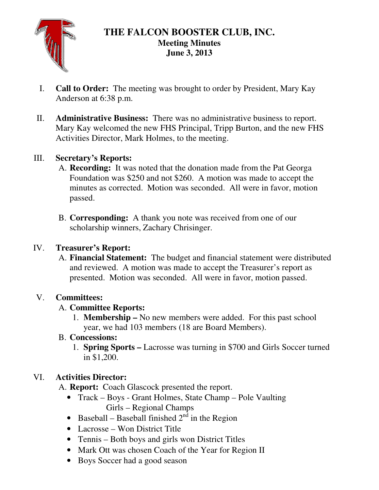

# **THE FALCON BOOSTER CLUB, INC. Meeting Minutes June 3, 2013**

- I. **Call to Order:** The meeting was brought to order by President, Mary Kay Anderson at 6:38 p.m.
- II. **Administrative Business:** There was no administrative business to report. Mary Kay welcomed the new FHS Principal, Tripp Burton, and the new FHS Activities Director, Mark Holmes, to the meeting.

## III. **Secretary's Reports:**

- A. **Recording:** It was noted that the donation made from the Pat Georga Foundation was \$250 and not \$260. A motion was made to accept the minutes as corrected. Motion was seconded. All were in favor, motion passed.
- B. **Corresponding:** A thank you note was received from one of our scholarship winners, Zachary Chrisinger.

### IV. **Treasurer's Report:**

A. **Financial Statement:** The budget and financial statement were distributed and reviewed. A motion was made to accept the Treasurer's report as presented. Motion was seconded. All were in favor, motion passed.

#### V. **Committees:**

### A. **Committee Reports:**

1. **Membership –** No new members were added. For this past school year, we had 103 members (18 are Board Members).

### B. **Concessions:**

1. **Spring Sports –** Lacrosse was turning in \$700 and Girls Soccer turned in \$1,200.

### VI. **Activities Director:**

A. **Report:** Coach Glascock presented the report.

- Track Boys Grant Holmes, State Champ Pole Vaulting Girls – Regional Champs
- Baseball Baseball finished  $2<sup>n\overline{d}</sup>$  in the Region
- Lacrosse Won District Title
- Tennis Both boys and girls won District Titles
- Mark Ott was chosen Coach of the Year for Region II
- Boys Soccer had a good season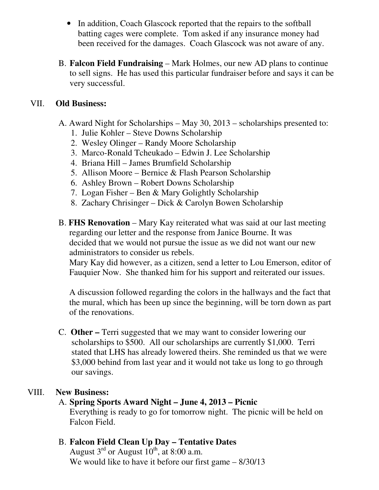- In addition, Coach Glascock reported that the repairs to the softball batting cages were complete. Tom asked if any insurance money had been received for the damages. Coach Glascock was not aware of any.
- B. **Falcon Field Fundraising** Mark Holmes, our new AD plans to continue to sell signs. He has used this particular fundraiser before and says it can be very successful.

#### VII. **Old Business:**

- A. Award Night for Scholarships May 30, 2013 scholarships presented to:
	- 1. Julie Kohler Steve Downs Scholarship
	- 2. Wesley Olinger Randy Moore Scholarship
	- 3. Marco-Ronald Tcheukado Edwin J. Lee Scholarship
	- 4. Briana Hill James Brumfield Scholarship
	- 5. Allison Moore Bernice & Flash Pearson Scholarship
	- 6. Ashley Brown Robert Downs Scholarship
	- 7. Logan Fisher Ben & Mary Golightly Scholarship
	- 8. Zachary Chrisinger Dick & Carolyn Bowen Scholarship
- B. **FHS Renovation** Mary Kay reiterated what was said at our last meeting regarding our letter and the response from Janice Bourne. It was decided that we would not pursue the issue as we did not want our new administrators to consider us rebels.

 Mary Kay did however, as a citizen, send a letter to Lou Emerson, editor of Fauquier Now. She thanked him for his support and reiterated our issues.

 A discussion followed regarding the colors in the hallways and the fact that the mural, which has been up since the beginning, will be torn down as part of the renovations.

C. **Other –** Terri suggested that we may want to consider lowering our scholarships to \$500. All our scholarships are currently \$1,000. Terri stated that LHS has already lowered theirs. She reminded us that we were \$3,000 behind from last year and it would not take us long to go through our savings.

### VIII. **New Business:**

- A. **Spring Sports Award Night June 4, 2013 Picnic** Everything is ready to go for tomorrow night. The picnic will be held on Falcon Field.
- B. **Falcon Field Clean Up Day Tentative Dates** August  $3<sup>rd</sup>$  or August  $10<sup>th</sup>$ , at 8:00 a.m. We would like to have it before our first game –  $8/30/13$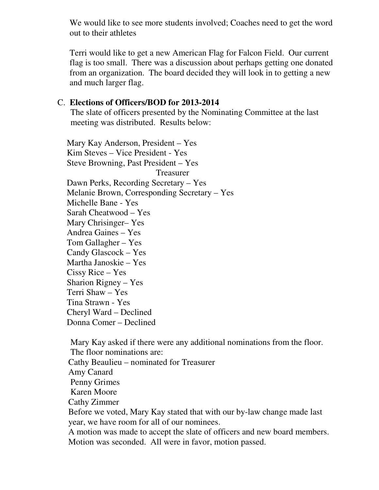We would like to see more students involved; Coaches need to get the word out to their athletes

Terri would like to get a new American Flag for Falcon Field. Our current flag is too small. There was a discussion about perhaps getting one donated from an organization. The board decided they will look in to getting a new and much larger flag.

#### C. **Elections of Officers/BOD for 2013-2014**

 The slate of officers presented by the Nominating Committee at the last meeting was distributed. Results below:

Mary Kay Anderson, President – Yes Kim Steves – Vice President - Yes Steve Browning, Past President – Yes Treasurer Dawn Perks, Recording Secretary – Yes Melanie Brown, Corresponding Secretary – Yes Michelle Bane - Yes Sarah Cheatwood – Yes Mary Chrisinger– Yes Andrea Gaines – Yes Tom Gallagher – Yes Candy Glascock – Yes Martha Janoskie – Yes Cissy Rice – Yes Sharion Rigney – Yes Terri Shaw – Yes Tina Strawn - Yes Cheryl Ward – Declined Donna Comer – Declined

 Mary Kay asked if there were any additional nominations from the floor. The floor nominations are: Cathy Beaulieu – nominated for Treasurer Amy Canard Penny Grimes Karen Moore Cathy Zimmer Before we voted, Mary Kay stated that with our by-law change made last year, we have room for all of our nominees.

 A motion was made to accept the slate of officers and new board members. Motion was seconded. All were in favor, motion passed.